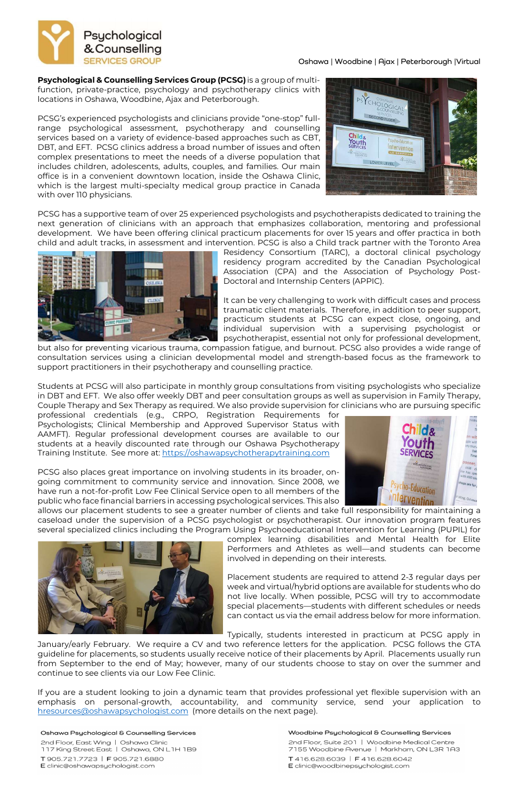

### Oshawa | Woodbine | Ajax | Peterborough |Virtual

Psychological & Counselling Services Group (PCSG) is a group of multifunction, private-practice, psychology and psychotherapy clinics with locations in Oshawa, Woodbine, Ajax and Peterborough.

PCSG's experienced psychologists and clinicians provide "one-stop" fullrange psychological assessment, psychotherapy and counselling services based on a variety of evidence-based approaches such as CBT, DBT, and EFT. PCSG clinics address a broad number of issues and often complex presentations to meet the needs of a diverse population that includes children, adolescents, adults, couples, and families. Our main office is in a convenient downtown location, inside the Oshawa Clinic, which is the largest multi-specialty medical group practice in Canada with over 110 physicians.



PCSG has a supportive team of over 25 experienced psychologists and psychotherapists dedicated to training the next generation of clinicians with an approach that emphasizes collaboration, mentoring and professional development. We have been offering clinical practicum placements for over 15 years and offer practica in both child and adult tracks, in assessment and intervention. PCSG is also a Child track partner with the Toronto Area



professional credentials (e.g., CRPO, Registration Requirements for Psychologists; Clinical Membership and Approved Supervisor Status with AAMFT). Regular professional development courses are available to our students at a heavily discounted rate through our Oshawa Psychotherapy Training Institute. See more at: https://oshawapsychotherapytraining.com

Residency Consortium (TARC), a doctoral clinical psychology residency program accredited by the Canadian Psychological Association (CPA) and the Association of Psychology Post-Doctoral and Internship Centers (APPIC).

It can be very challenging to work with difficult cases and process traumatic client materials. Therefore, in addition to peer support, practicum students at PCSG can expect close, ongoing, and individual supervision with a supervising psychologist or psychotherapist, essential not only for professional development,

but also for preventing vicarious trauma, compassion fatigue, and burnout. PCSG also provides a wide range of consultation services using a clinician developmental model and strength-based focus as the framework to support practitioners in their psychotherapy and counselling practice.

Students at PCSG will also participate in monthly group consultations from visiting psychologists who specialize in DBT and EFT. We also offer weekly DBT and peer consultation groups as well as supervision in Family Therapy, Couple Therapy and Sex Therapy as required. We also provide supervision for clinicians who are pursuing specific

PCSG also places great importance on involving students in its broader, ongoing commitment to community service and innovation. Since 2008, we have run a not-for-profit Low Fee Clinical Service open to all members of the public who face financial barriers in accessing psychological services. This also



allows our placement students to see a greater number of clients and take full responsibility for maintaining a caseload under the supervision of a PCSG psychologist or psychotherapist. Our innovation program features several specialized clinics including the Program Using Psychoeducational Intervention for Learning (PUPIL) for



complex learning disabilities and Mental Health for Elite Performers and Athletes as well—and students can become involved in depending on their interests.

Placement students are required to attend 2-3 regular days per week and virtual/hybrid options are available for students who do not live locally. When possible, PCSG will try to accommodate special placements—students with different schedules or needs can contact us via the email address below for more information.

Typically, students interested in practicum at PCSG apply in

January/early February. We require a CV and two reference letters for the application. PCSG follows the GTA guideline for placements, so students usually receive notice of their placements by April. Placements usually run from September to the end of May; however, many of our students choose to stay on over the summer and continue to see clients via our Low Fee Clinic.

If you are a student looking to join a dynamic team that provides professional yet flexible supervision with an emphasis on personal-growth, accountability, and community service, send your application to hresources@oshawapsychologist.com (more details on the next page).

#### Oshawa Psychological & Counselling Services

2nd Floor, East Wing | Oshawa Clinic 117 King Street East | Oshawa, ON L1H 1B9

T905.721.7723 | F905.721.6880 E clinic@oshawapsychologist.com

#### Woodbine Psychological & Counselling Services

2nd Floor, Suite 201 | Woodbine Medical Centre 7155 Woodbine Avenue | Markham, ON L3R 1A3

T416.628.6039 | F416.628.6042 E clinic@woodbinepsychologist.com